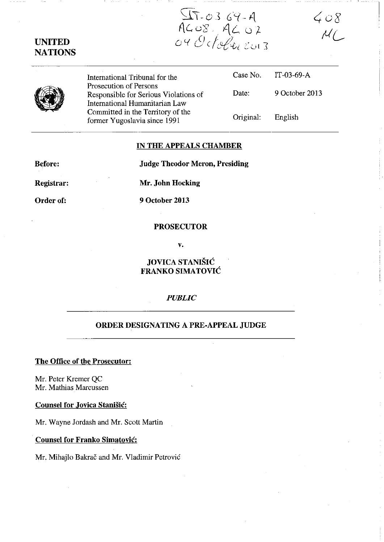$T - 0.369 - A$ <br>AGO8 AGO2<br>04 October 2013

**UNITED NATIONS** 

> International Tribunal for the Prosecution of Persons Responsible for Serious Violations of International Humanitarian Law Committed in the Territory of the former Yugoslavia since 1991

|           | Case No. IT-03-69-A |
|-----------|---------------------|
| Date:     | 9 October 2013      |
| Original: | English             |

 $408$ <br> $MC$ 

### **IN THE APPEALS CHAMBER**

**Before: Judge Theodor Meron, Presiding** 

**Registrar: Mr. John Hocking** 

**Order of: 9 October 2013** 

### **PROSECUTOR**

v.

### **JOVICA STANISH: FRANKO SIMATOVIC**

#### *PUBLIC*

### **ORDER DESIGNATING A PRE·APPEAL JUDGE**

### **The Office of the Prosecutor:**

Mr. Peter Kremer QC Mr. Mathias Marcussen

### **Counsel for Jovica Stanisic:**

Mr. Wayne lordash and Mr. Scott Martin

**Counsel for Franko Simatovic:** 

Mr. Mihajlo Bakrac and Mr. Vladimir Petrovic